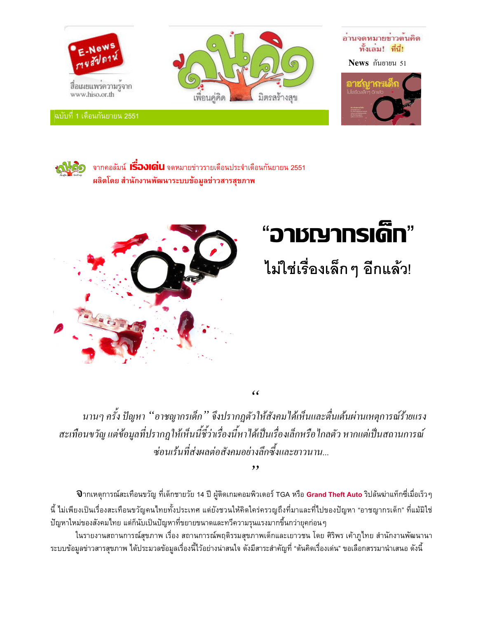

ุฉบับที่ 1 เดือนกันยายน 2551







์จากคอลัมน์ **เรื่องเด่น** จดหมายข่าวรายเดือนประจำเดือนกันยายน 2551 ผลิตโดย สำนักงานพัฒนาระบบข้อมูลข่าวสารสุขภาพ



# "อาชญากรเด็ก"

## ไม่ใช่เรื่องเล็ก ๆ อีกแล้ว!

 $\epsilon$ 

 $, ,$ 

ินานๆ ครั้ง ปัญหา ''อาชญากรเด็ก'' จึงปรากฎตัวให้สังคมใด้เห็นและตื่นเต้นผ่านเหตุการณ์ร้ายแรง สะเทือนขวัญ แต่ข้อมูลที่ปรากฏให้เห็นนี้ชี้ว่าเรื่องนี้หาได้เป็นเรื่องเล็กหรือไกลตัว หากแต่เป็นสถานการณ์ ซ่อนเร้นที่ส่งผลต่อสังคมอย่างลึกซึ้งและยาวนาน...

ี **บ**ิากเหตุการณ์สะเทือนขวัญ ที่เด็กชายวัย 14 ปี ผู้ติดเกมคอมพิวเตอร์ TGA หรือ **Grand Theft Auto** ริปล้นฆ่าแท็กซี่เมื่อเร็วๆ นี้ ไม่เพียงเป็นเรื่องสะเทือนขวัญคนไทยทั้งประเทศ แต่ยังชวนให้คิดใคร่ครวญถึงที่มาและที่ไปของปัญหา "อาชญากรเด็ก" ที่แม้มิใช่ ปัญหาใหม่ของสังคมไทย แต่ก็นับเป็นปัญหาที่ขยายขนาดและทวีความรุนแรงมากขึ้นกว่ายุคก่อนๆ

ในรายงานสถานการณ์สุขภาพ เรื่อง สถานการณ์พฤติรรมสุขภาพเด็กและเยาวชน โดย ศิริพร เค้าภูไทย สำนักงานพัฒนานา ระบบข้อมูลข่าวสารสุขภาพ ได้ประมวลข้อมูลเรื่องนี้ไว้อย่างน่าสนใจ ดังมีสาระสำคัญที่ "ต้นคิดเรื่องเด่น" ขอเลือกสรรมานำเสนอ ดังนี้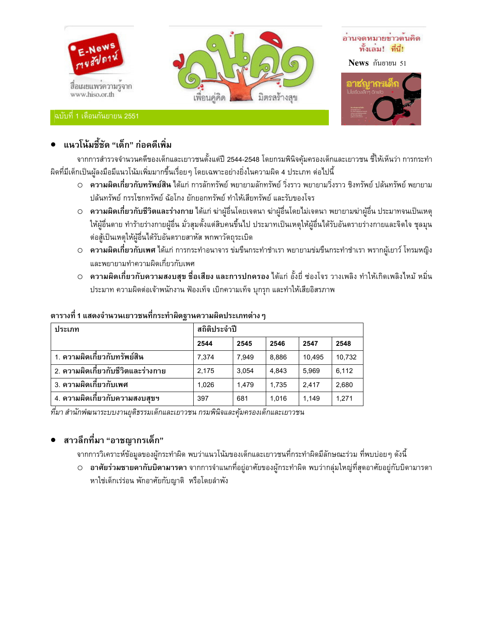

## • แนวโน้มชี้ชัด "เด็ก" ก่อคดีเพิ่ม

ิจากการสำรวจจำนวนคดีของเด็กและเยาวชนตั้งแต่ปี 2544-2548 โดยกรมพินิจคุ้มครองเด็กและเยาวชน ชี้ให้เห็นว่า การกระทำ ้ผิดที่มีเด็กเป็นผู้ลงมือมีแนวโน้มเพิ่มมากขึ้นเรื่อยๆ โดยเฉพาะอย่างยิ่งในความผิด 4 ประเภท ต่อไปนี้

- O **ความผิดเกี่ยวกับทรัพย์สิน ไ**ด้แก่ การลักทรัพย์ พยายามลักทรัพย์ วิ่งราว พยายามวิ่งราว ชิงทรัพย์ ปล้นทรัพย์ พยายาม ปล้นทรัพย์ กรรโชกทรัพย์ ฉ้อโกง ยักยอกทรัพย์ ทำให้เสียทรัพย์ และรับของโจร
- ความผิดเกี่ยวกับชีวิตและร่างกาย ได้แก่ ฆ่าผู้อื่นโดยเจตนา ฆ่าผู้อื่นโดยไม่เจตนา พยายามฆ่าผู้อื่น ประมาทจนเป็นเหตุ ให้ผู้อื่นตาย ทำร้ายร่างกายผู้อื่น มั่วสุมตั้งแต่สิบคนขึ้นไป ประมาทเป็นเหตุให้ผู้อื่นได้รับอันตรายร่างกายและจิตใจ ชุลมุน ต่อสู้เป็นเหตุให้ผู้อื่นได้รับอันตรายสาหัส พกพาวัตถุระเบิด
- **ความผิดเกี่ยวกับเพศ ไ**ด้แก่ การกระทำอนาจาร ข่มขืนกระทำชำเรา พยายามข่มขืนกระทำชำเรา พรากผู้เยาว์ โทรมหญิง และพยายามทำความผิดเกี่ยวกับเพศ
- O ความผิดเกี่ยวกับความสงบสุข ชื่อเสียง และการปกครอง ได้แก่ อั้งยี่ ซ่องโจร วางเพลิง ทำให้เกิดเพลิงไหม้ หมิ่น ประมาท ความผิดต่อเจ้าพนักงาน ฟ้องเท็จ เบิกความเท็จ บุกรุก และทำให้เสียอิสรภาพ

| ประเภท                               | สถิติประจำปี |       |       |        |        |
|--------------------------------------|--------------|-------|-------|--------|--------|
|                                      | 2544         | 2545  | 2546  | 2547   | 2548   |
| 1. ความผิดเกี่ยวกับทรัพย์สิน         | 7.374        | 7.949 | 8.886 | 10.495 | 10.732 |
| ่ 2. ความผิดเกี่ยวกับชีวิตและร่างกาย | 2.175        | 3.054 | 4.843 | 5.969  | 6,112  |
| 3. ความผิดเกี่ยวกับเพศ               | 1.026        | 1.479 | 1.735 | 2.417  | 2,680  |
| 4. ความผิดเกี่ยวกับความสงบสุขฯ       | 397          | 681   | 1.016 | 1.149  | 1,271  |

#### ตารางที่ 1 แสดงจำนวนเยาวชนที่กระทำผิดฐานความผิดประเภทต่าง ๆ

ที่มา สำนักพํฒนาระบบงานยุติธรรมเด็กและเยาวชน กรมพินิจและคุ้มครองเด็กและเยาวชน

## ● สาวลึกที่มา "อาชญากรเด็ก"

ี จากการวิเคราะห์ข้อมูลของผู้กระทำผิด พบว่าแนวโน้มของเด็กและเยาวชนที่กระทำผิดมีลักษณะร่วม ที่พบบ่อยๆ ดังนี้

 ○ **อาศัยร่วมชายคากับบิดามารดา** จากการจำแนกที่อยู่อาศัยของผู้กระทำผิด พบว่ากลุ่มใหญ่ที่สุดอาศัยอยู่กับบิดามารดา หาใช่เด็กเร่ร่อน พักอาศัยกับญาติ หรือโดยลำพัง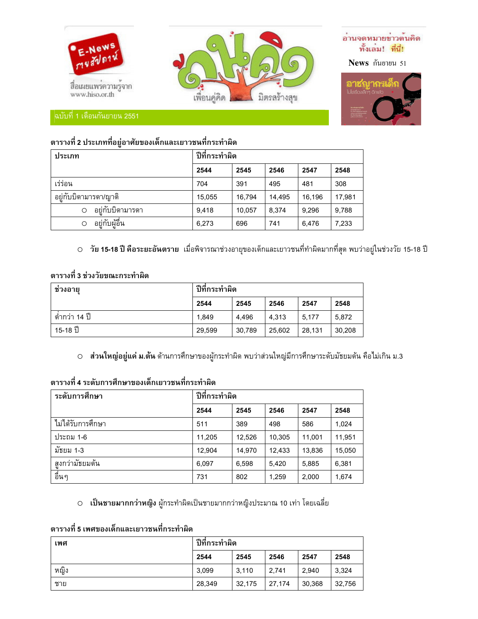![](_page_2_Picture_0.jpeg)

### ตารางที่ 2 ประเภทที่อยู่อาศัยของเด็กและเยาวชนที่กระทำผิด

| ประเภท               | ปีที่กระทำผิด |        |        |        |        |  |
|----------------------|---------------|--------|--------|--------|--------|--|
|                      | 2544          | 2545   | 2546   | 2547   | 2548   |  |
| เร่ร่อน              | 704           | 391    | 495    | 481    | 308    |  |
| อย่กับบิดามารดา/ญาติ | 15.055        | 16.794 | 14.495 | 16.196 | 17,981 |  |
| อย่กับบิดามารดา<br>Ω | 9,418         | 10,057 | 8,374  | 9,296  | 9,788  |  |
| อย่กับผ้อื่น<br>Ο    | 6,273         | 696    | 741    | 6.476  | 7,233  |  |

○ วัย 15-18 ปี คือระยะอันตราย เมื่อพิจารณาช่วงอายุของเด็กและเยาวชนที่ทำผิดมากที่สุด พบว่าอยู่ในช่วงวัย 15-18 ปี

## ตารางที่ 3 ช่วงวัยขณะกระทำผิด

| ช่วงอายุ       | ปีที่กระทำผิด |        |        |        |        |  |
|----------------|---------------|--------|--------|--------|--------|--|
|                | 2544          | 2545   | 2546   | 2547   | 2548   |  |
| ์ ตำกว่า 14 ปี | 1,849         | 4.496  | 4.313  | 5.177  | 5.872  |  |
| 15-18 ปี       | 29,599        | 30.789 | 25.602 | 28.131 | 30,208 |  |

O ส่วนใหญ่อยู่แค่ ม.ต้น ด้านการศึกษาของผู้กระทำผิด พบว่าส่วนใหญ่มีการศึกษาระดับมัธยมต้น คือไม่เกิน ม.3

## ตารางที่ 4 ระดับการศึกษาของเด็กเยาวชนที่กระทำผิด

| ระดับการศึกษา     | ปีที่กระทำผิด |        |        |        |        |
|-------------------|---------------|--------|--------|--------|--------|
|                   | 2544          | 2545   | 2546   | 2547   | 2548   |
| ไม่ได้รับการศึกษา | 511           | 389    | 498    | 586    | 1,024  |
| ประถม 1-6         | 11,205        | 12.526 | 10.305 | 11.001 | 11,951 |
| มัธยม 1-3         | 12.904        | 14.970 | 12.433 | 13.836 | 15.050 |
| สงกว่ามัธยมต้น    | 6.097         | 6,598  | 5.420  | 5,885  | 6,381  |
| อื่นๆ             | 731           | 802    | 1,259  | 2,000  | 1,674  |

O **เป็นชายมากกว่าหญิง** ผู้กระทำผิดเป็นชายมากกว่าหญิงประมาณ 10 เท่า โดยเฉลี่ย

### ตารางที่ 5 เพศของเด็กและเยาวชนที่กระทำผิด

| เพศ  | ปีที่กระทำผิด |        |        |        |        |
|------|---------------|--------|--------|--------|--------|
|      | 2544          | 2545   | 2546   | 2547   | 2548   |
| หญิง | 3.099         | 3.110  | 2.741  | 2.940  | 3.324  |
| ชาย  | 28.349        | 32.175 | 27.174 | 30,368 | 32,756 |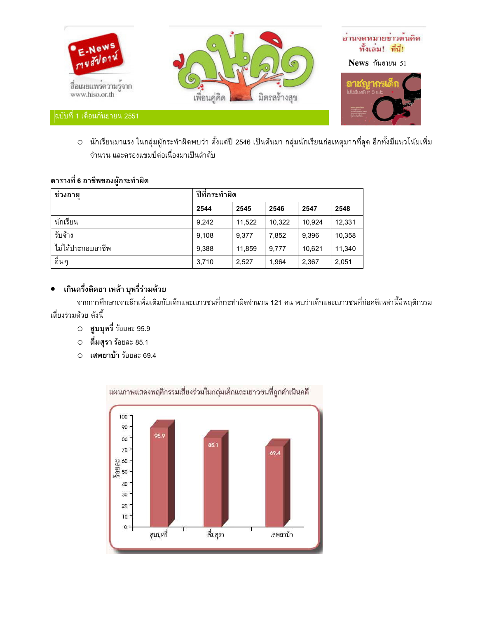![](_page_3_Picture_0.jpeg)

O นักเรียนมาแรง ในกลุ่มผู้กระทำผิดพบว่า ตั้งแต่ปี 2546 เป็นต้นมา กลุ่มนักเรียนก่อเหตุมากที่สุด อีกทั้งมีแนวโน้มเพิ่ม จำนวน และครองแชมป์ต่อเนื่องมาเป็นลำดับ

## ตารางที่ 6 อาชีพของผู้กระทำผิด

| ช่วงอายุ          | ปีที่กระทำผิด |        |        |        |        |
|-------------------|---------------|--------|--------|--------|--------|
|                   | 2544          | 2545   | 2546   | 2547   | 2548   |
| นักเรียน          | 9,242         | 11,522 | 10,322 | 10.924 | 12,331 |
| รับจ้าง           | 9.108         | 9.377  | 7,852  | 9,396  | 10,358 |
| ไม่ได้ประกอบอาชีพ | 9.388         | 11,859 | 9.777  | 10,621 | 11,340 |
| ้อื่นๆ            | 3,710         | 2,527  | 1,964  | 2,367  | 2,051  |

## ● เกินครึ่งติดยา เหล้า บุหรี่ร่วมด้วย

ิจากการศึกษาเจาะลึกเพิ่มเติมกับเด็กและเยาวชนที่กระทำผิดจำนวน 121 คน พบว่าเด็กและเยาวชนที่ก่อคดีเหล่านี้มีพฤติกรรม เสี่ยงร่วมด้วย ดังนี้

- สูบบุหรี่ ร้อยละ 95.9
- ดื่มสุรา ร้อยละ 85.1  $\circ$
- เสพยาบ้า ร้อยละ 69.4

![](_page_3_Figure_9.jpeg)